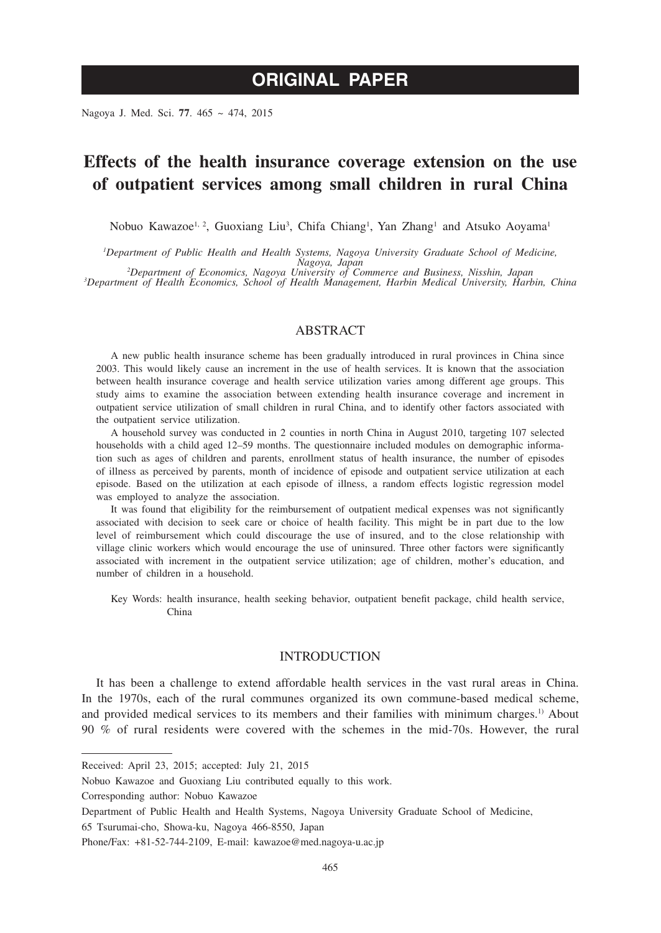# **ORIGINAL PAPER**

Nagoya J. Med. Sci. **77**. 465 ~ 474, 2015

# **Effects of the health insurance coverage extension on the use of outpatient services among small children in rural China**

Nobuo Kawazoe<sup>1, 2</sup>, Guoxiang Liu<sup>3</sup>, Chifa Chiang<sup>1</sup>, Yan Zhang<sup>1</sup> and Atsuko Aoyama<sup>1</sup>

*1 Department of Public Health and Health Systems, Nagoya University Graduate School of Medicine,* 

*Nagoya, Japan <sup>2</sup> Department of Economics, Nagoya University of Commerce and Business, Nisshin, Japan <sup>3</sup>*

<sup>3</sup>Department of Health Economics, School of Health Management, Harbin Medical University, Harbin, China

# ABSTRACT

A new public health insurance scheme has been gradually introduced in rural provinces in China since 2003. This would likely cause an increment in the use of health services. It is known that the association between health insurance coverage and health service utilization varies among different age groups. This study aims to examine the association between extending health insurance coverage and increment in outpatient service utilization of small children in rural China, and to identify other factors associated with the outpatient service utilization.

A household survey was conducted in 2 counties in north China in August 2010, targeting 107 selected households with a child aged 12–59 months. The questionnaire included modules on demographic information such as ages of children and parents, enrollment status of health insurance, the number of episodes of illness as perceived by parents, month of incidence of episode and outpatient service utilization at each episode. Based on the utilization at each episode of illness, a random effects logistic regression model was employed to analyze the association.

It was found that eligibility for the reimbursement of outpatient medical expenses was not significantly associated with decision to seek care or choice of health facility. This might be in part due to the low level of reimbursement which could discourage the use of insured, and to the close relationship with village clinic workers which would encourage the use of uninsured. Three other factors were significantly associated with increment in the outpatient service utilization; age of children, mother's education, and number of children in a household.

Key Words: health insurance, health seeking behavior, outpatient benefit package, child health service, China

# INTRODUCTION

It has been a challenge to extend affordable health services in the vast rural areas in China. In the 1970s, each of the rural communes organized its own commune-based medical scheme, and provided medical services to its members and their families with minimum charges.<sup>1)</sup> About 90 % of rural residents were covered with the schemes in the mid-70s. However, the rural

Received: April 23, 2015; accepted: July 21, 2015

Nobuo Kawazoe and Guoxiang Liu contributed equally to this work.

Corresponding author: Nobuo Kawazoe

Department of Public Health and Health Systems, Nagoya University Graduate School of Medicine,

<sup>65</sup> Tsurumai-cho, Showa-ku, Nagoya 466-8550, Japan

Phone/Fax: +81-52-744-2109, E-mail: kawazoe@med.nagoya-u.ac.jp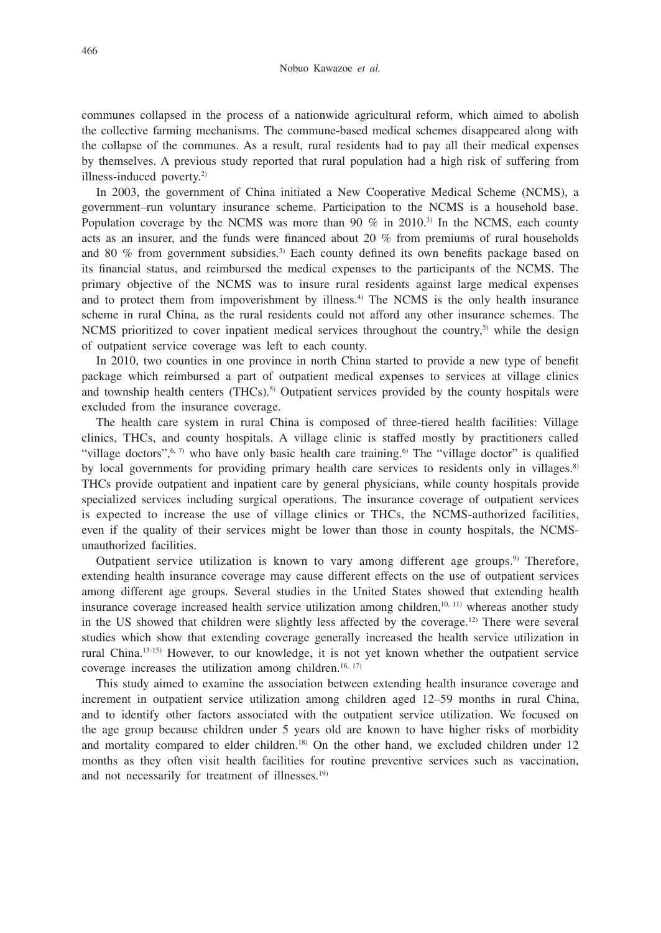communes collapsed in the process of a nationwide agricultural reform, which aimed to abolish the collective farming mechanisms. The commune-based medical schemes disappeared along with the collapse of the communes. As a result, rural residents had to pay all their medical expenses by themselves. A previous study reported that rural population had a high risk of suffering from illness-induced poverty.2)

In 2003, the government of China initiated a New Cooperative Medical Scheme (NCMS), a government–run voluntary insurance scheme. Participation to the NCMS is a household base. Population coverage by the NCMS was more than 90  $\%$  in 2010.<sup>3)</sup> In the NCMS, each county acts as an insurer, and the funds were financed about 20 % from premiums of rural households and 80 % from government subsidies.3) Each county defined its own benefits package based on its financial status, and reimbursed the medical expenses to the participants of the NCMS. The primary objective of the NCMS was to insure rural residents against large medical expenses and to protect them from impoverishment by illness.4) The NCMS is the only health insurance scheme in rural China, as the rural residents could not afford any other insurance schemes. The NCMS prioritized to cover inpatient medical services throughout the country,<sup>5)</sup> while the design of outpatient service coverage was left to each county.

In 2010, two counties in one province in north China started to provide a new type of benefit package which reimbursed a part of outpatient medical expenses to services at village clinics and township health centers  $(THCs)$ .<sup>5)</sup> Outpatient services provided by the county hospitals were excluded from the insurance coverage.

The health care system in rural China is composed of three-tiered health facilities: Village clinics, THCs, and county hospitals. A village clinic is staffed mostly by practitioners called "village doctors",<sup>6, 7)</sup> who have only basic health care training.<sup>6</sup> The "village doctor" is qualified by local governments for providing primary health care services to residents only in villages.<sup>8)</sup> THCs provide outpatient and inpatient care by general physicians, while county hospitals provide specialized services including surgical operations. The insurance coverage of outpatient services is expected to increase the use of village clinics or THCs, the NCMS-authorized facilities, even if the quality of their services might be lower than those in county hospitals, the NCMSunauthorized facilities.

Outpatient service utilization is known to vary among different age groups.9) Therefore, extending health insurance coverage may cause different effects on the use of outpatient services among different age groups. Several studies in the United States showed that extending health insurance coverage increased health service utilization among children,<sup>10, 11)</sup> whereas another study in the US showed that children were slightly less affected by the coverage.<sup>12)</sup> There were several studies which show that extending coverage generally increased the health service utilization in rural China.13-15) However, to our knowledge, it is not yet known whether the outpatient service coverage increases the utilization among children.<sup>16, 17)</sup>

This study aimed to examine the association between extending health insurance coverage and increment in outpatient service utilization among children aged 12–59 months in rural China, and to identify other factors associated with the outpatient service utilization. We focused on the age group because children under 5 years old are known to have higher risks of morbidity and mortality compared to elder children.<sup>18)</sup> On the other hand, we excluded children under 12 months as they often visit health facilities for routine preventive services such as vaccination, and not necessarily for treatment of illnesses.<sup>19)</sup>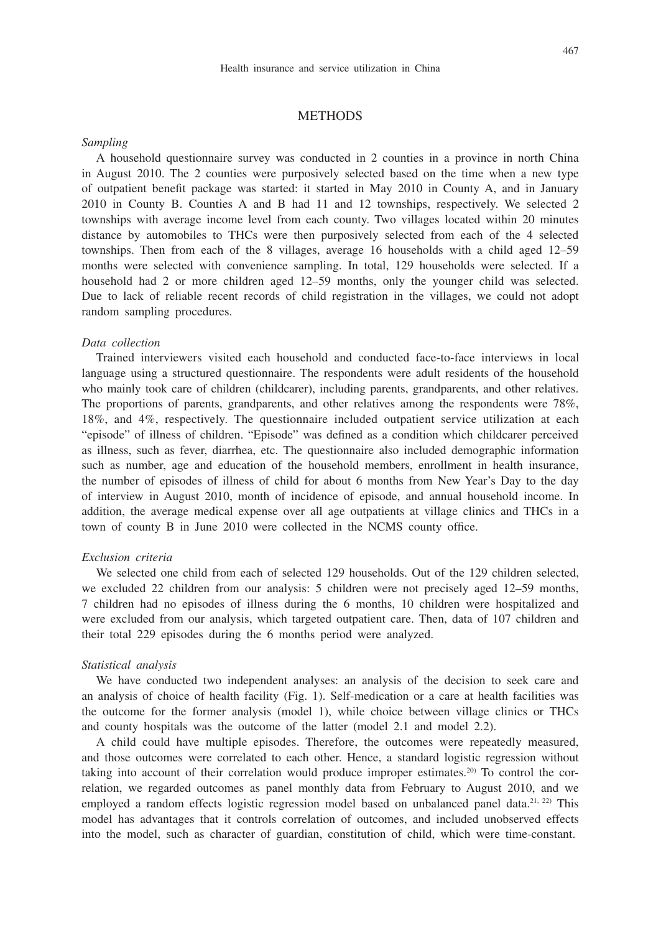# **METHODS**

### *Sampling*

A household questionnaire survey was conducted in 2 counties in a province in north China in August 2010. The 2 counties were purposively selected based on the time when a new type of outpatient benefit package was started: it started in May 2010 in County A, and in January 2010 in County B. Counties A and B had 11 and 12 townships, respectively. We selected 2 townships with average income level from each county. Two villages located within 20 minutes distance by automobiles to THCs were then purposively selected from each of the 4 selected townships. Then from each of the 8 villages, average 16 households with a child aged 12–59 months were selected with convenience sampling. In total, 129 households were selected. If a household had 2 or more children aged 12–59 months, only the younger child was selected. Due to lack of reliable recent records of child registration in the villages, we could not adopt random sampling procedures.

# *Data collection*

Trained interviewers visited each household and conducted face-to-face interviews in local language using a structured questionnaire. The respondents were adult residents of the household who mainly took care of children (childcarer), including parents, grandparents, and other relatives. The proportions of parents, grandparents, and other relatives among the respondents were 78%, 18%, and 4%, respectively. The questionnaire included outpatient service utilization at each "episode" of illness of children. "Episode" was defined as a condition which childcarer perceived as illness, such as fever, diarrhea, etc. The questionnaire also included demographic information such as number, age and education of the household members, enrollment in health insurance, the number of episodes of illness of child for about 6 months from New Year's Day to the day of interview in August 2010, month of incidence of episode, and annual household income. In addition, the average medical expense over all age outpatients at village clinics and THCs in a town of county B in June 2010 were collected in the NCMS county office.

# *Exclusion criteria*

We selected one child from each of selected 129 households. Out of the 129 children selected, we excluded 22 children from our analysis: 5 children were not precisely aged 12–59 months, 7 children had no episodes of illness during the 6 months, 10 children were hospitalized and were excluded from our analysis, which targeted outpatient care. Then, data of 107 children and their total 229 episodes during the 6 months period were analyzed.

#### *Statistical analysis*

We have conducted two independent analyses: an analysis of the decision to seek care and an analysis of choice of health facility (Fig. 1). Self-medication or a care at health facilities was the outcome for the former analysis (model 1), while choice between village clinics or THCs and county hospitals was the outcome of the latter (model 2.1 and model 2.2).

A child could have multiple episodes. Therefore, the outcomes were repeatedly measured, and those outcomes were correlated to each other. Hence, a standard logistic regression without taking into account of their correlation would produce improper estimates.20) To control the correlation, we regarded outcomes as panel monthly data from February to August 2010, and we employed a random effects logistic regression model based on unbalanced panel data.<sup>21, 22)</sup> This model has advantages that it controls correlation of outcomes, and included unobserved effects into the model, such as character of guardian, constitution of child, which were time-constant.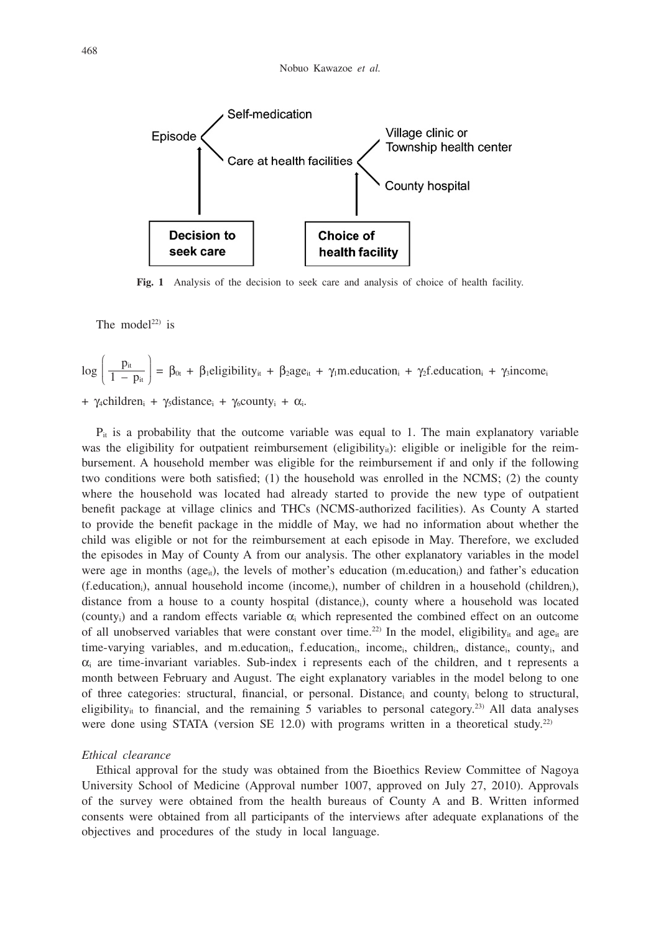

**Fig. 1** Analysis of the decision to seek care and analysis of choice of health facility.

The model<sup>22)</sup> is

$$
\log\left(\frac{p_{it}}{1-p_{it}}\right) = \beta_{0t} + \beta_1 \text{eligibility}_{it} + \beta_2 \text{age}_{it} + \gamma_1 m_{\text{reduction}_i} + \gamma_2 f_{\text{reduction}_i} + \gamma_3 \text{income}_{it}
$$

+  $\gamma_4$ children<sub>i</sub> +  $\gamma_5$ distance<sub>i</sub> +  $\gamma_6$ county<sub>i</sub> +  $\alpha_i$ .

 $P_{it}$  is a probability that the outcome variable was equal to 1. The main explanatory variable was the eligibility for outpatient reimbursement (eligibility<sub>it</sub>): eligible or ineligible for the reimbursement. A household member was eligible for the reimbursement if and only if the following two conditions were both satisfied; (1) the household was enrolled in the NCMS; (2) the county where the household was located had already started to provide the new type of outpatient benefit package at village clinics and THCs (NCMS-authorized facilities). As County A started to provide the benefit package in the middle of May, we had no information about whether the child was eligible or not for the reimbursement at each episode in May. Therefore, we excluded the episodes in May of County A from our analysis. The other explanatory variables in the model were age in months ( $age_{ii}$ ), the levels of mother's education (m.education<sub>i</sub>) and father's education (f.educationi), annual household income (incomei), number of children in a household (childreni), distance from a house to a county hospital (distancei), county where a household was located (county<sub>i</sub>) and a random effects variable  $\alpha_i$  which represented the combined effect on an outcome of all unobserved variables that were constant over time.<sup>22)</sup> In the model, eligibility<sub>it</sub> and age<sub>it</sub> are time-varying variables, and m.education<sub>i</sub>, f.education<sub>i</sub>, income<sub>i</sub>, children<sub>i</sub>, distance<sub>i</sub>, county<sub>i</sub>, and  $\alpha_i$  are time-invariant variables. Sub-index i represents each of the children, and t represents a month between February and August. The eight explanatory variables in the model belong to one of three categories: structural, financial, or personal. Distancei and countyi belong to structural, eligibility<sub>it</sub> to financial, and the remaining 5 variables to personal category.<sup>23)</sup> All data analyses were done using STATA (version SE 12.0) with programs written in a theoretical study.<sup>22)</sup>

#### *Ethical clearance*

Ethical approval for the study was obtained from the Bioethics Review Committee of Nagoya University School of Medicine (Approval number 1007, approved on July 27, 2010). Approvals of the survey were obtained from the health bureaus of County A and B. Written informed consents were obtained from all participants of the interviews after adequate explanations of the objectives and procedures of the study in local language.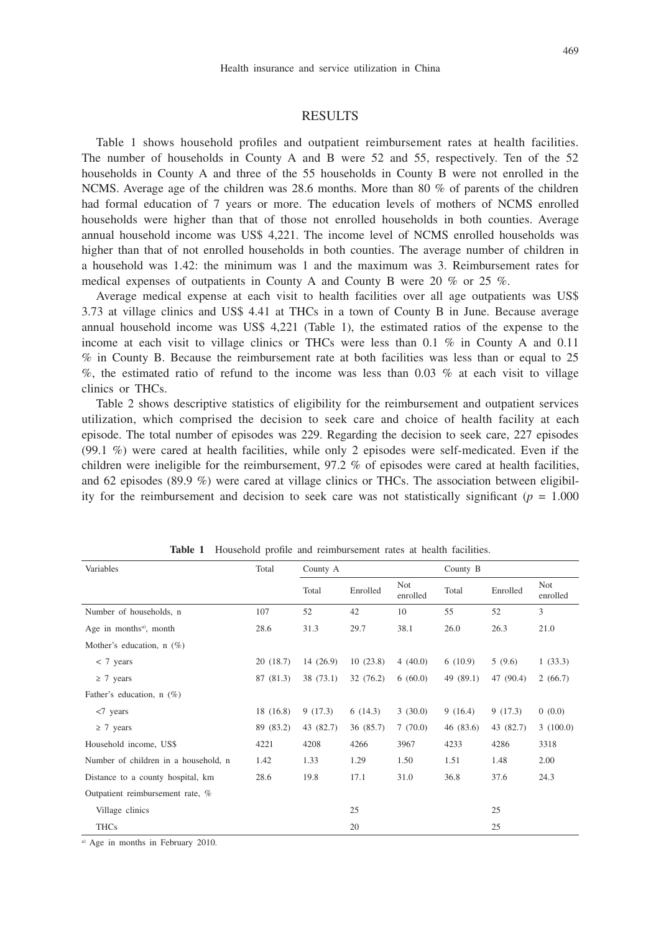#### 469

# **RESULTS**

Table 1 shows household profiles and outpatient reimbursement rates at health facilities. The number of households in County A and B were 52 and 55, respectively. Ten of the 52 households in County A and three of the 55 households in County B were not enrolled in the NCMS. Average age of the children was 28.6 months. More than 80 % of parents of the children had formal education of 7 years or more. The education levels of mothers of NCMS enrolled households were higher than that of those not enrolled households in both counties. Average annual household income was US\$ 4,221. The income level of NCMS enrolled households was higher than that of not enrolled households in both counties. The average number of children in a household was 1.42: the minimum was 1 and the maximum was 3. Reimbursement rates for medical expenses of outpatients in County A and County B were 20  $\%$  or 25  $\%$ .

Average medical expense at each visit to health facilities over all age outpatients was US\$ 3.73 at village clinics and US\$ 4.41 at THCs in a town of County B in June. Because average annual household income was US\$ 4,221 (Table 1), the estimated ratios of the expense to the income at each visit to village clinics or THCs were less than 0.1 % in County A and 0.11 % in County B. Because the reimbursement rate at both facilities was less than or equal to 25  $\%$ , the estimated ratio of refund to the income was less than 0.03 % at each visit to village clinics or THCs.

Table 2 shows descriptive statistics of eligibility for the reimbursement and outpatient services utilization, which comprised the decision to seek care and choice of health facility at each episode. The total number of episodes was 229. Regarding the decision to seek care, 227 episodes (99.1 %) were cared at health facilities, while only 2 episodes were self-medicated. Even if the children were ineligible for the reimbursement,  $97.2 %$  of episodes were cared at health facilities, and 62 episodes (89.9 %) were cared at village clinics or THCs. The association between eligibility for the reimbursement and decision to seek care was not statistically significant ( $p = 1.000$ )

| Variables                            | Total     | County A  |           |                 | County B  |           |                        |
|--------------------------------------|-----------|-----------|-----------|-----------------|-----------|-----------|------------------------|
|                                      |           | Total     | Enrolled  | Not<br>enrolled | Total     | Enrolled  | <b>Not</b><br>enrolled |
| Number of households, n              | 107       | 52        | 42        | 10              | 55        | 52        | 3                      |
| Age in months <sup>a)</sup> , month  | 28.6      | 31.3      | 29.7      | 38.1            | 26.0      | 26.3      | 21.0                   |
| Mother's education, $n(\%)$          |           |           |           |                 |           |           |                        |
| $< 7$ years                          | 20(18.7)  | 14(26.9)  | 10(23.8)  | 4(40.0)         | 6(10.9)   | 5(9.6)    | 1(33.3)                |
| $\geq 7$ years                       | 87 (81.3) | 38 (73.1) | 32(76.2)  | 6(60.0)         | 49 (89.1) | 47 (90.4) | 2(66.7)                |
| Father's education, $n(\%)$          |           |           |           |                 |           |           |                        |
| $<$ 7 years                          | 18 (16.8) | 9(17.3)   | 6(14.3)   | 3(30.0)         | 9(16.4)   | 9(17.3)   | 0(0.0)                 |
| $\geq 7$ years                       | 89 (83.2) | 43 (82.7) | 36 (85.7) | 7(70.0)         | 46 (83.6) | 43 (82.7) | 3(100.0)               |
| Household income, US\$               | 4221      | 4208      | 4266      | 3967            | 4233      | 4286      | 3318                   |
| Number of children in a household, n | 1.42      | 1.33      | 1.29      | 1.50            | 1.51      | 1.48      | 2.00                   |
| Distance to a county hospital, km    | 28.6      | 19.8      | 17.1      | 31.0            | 36.8      | 37.6      | 24.3                   |
| Outpatient reimbursement rate, %     |           |           |           |                 |           |           |                        |
| Village clinics                      |           |           | 25        |                 |           | 25        |                        |
| <b>THCs</b>                          |           |           | 20        |                 |           | 25        |                        |

**Table 1** Household profile and reimbursement rates at health facilities.

a) Age in months in February 2010.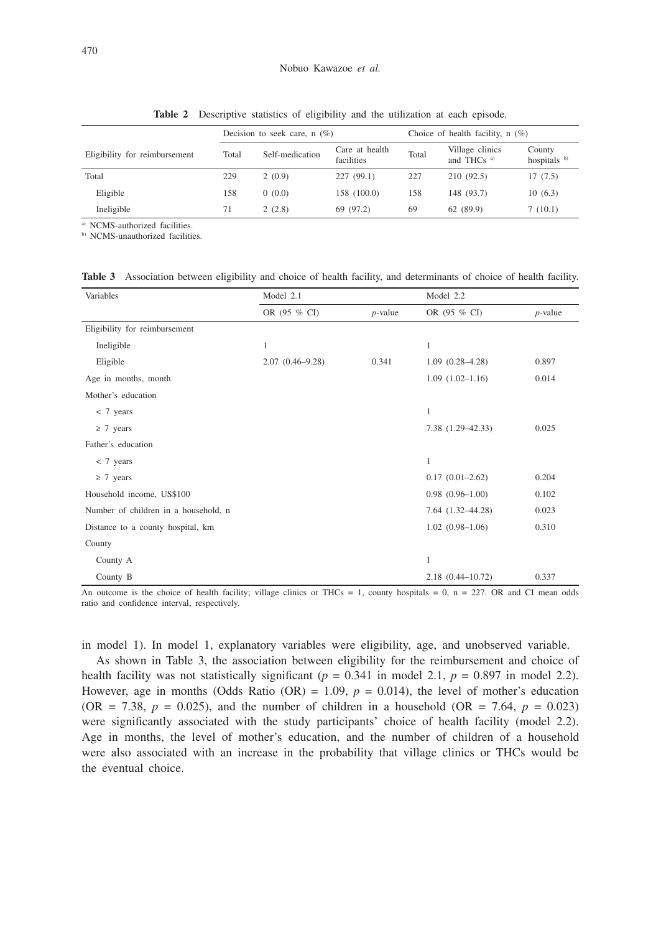|                               | Decision to seek care, $n(\%)$ |                 |                              | Choice of health facility, $n(\%)$ |                                           |                        |  |
|-------------------------------|--------------------------------|-----------------|------------------------------|------------------------------------|-------------------------------------------|------------------------|--|
| Eligibility for reimbursement | Total                          | Self-medication | Care at health<br>facilities | Total                              | Village clinics<br>and THCs <sup>a)</sup> | County<br>hospitals b) |  |
| Total                         | 229                            | 2(0.9)          | 227(99.1)                    | 227                                | 210 (92.5)                                | 17(7.5)                |  |
| Eligible                      | 158                            | 0(0.0)          | 158 (100.0)                  | 158                                | 148 (93.7)                                | 10(6.3)                |  |
| Ineligible                    | 71                             | 2(2.8)          | 69 (97.2)                    | 69                                 | 62 (89.9)                                 | 7(10.1)                |  |

**Table 2** Descriptive statistics of eligibility and the utilization at each episode.

a) NCMS-authorized facilities.

b) NCMS-unauthorized facilities.

**Table 3** Association between eligibility and choice of health facility, and determinants of choice of health facility.

| Variables                            | Model 2.1           |            | Model 2.2            |            |  |
|--------------------------------------|---------------------|------------|----------------------|------------|--|
|                                      | OR (95 % CI)        | $p$ -value | OR (95 % CI)         | $p$ -value |  |
| Eligibility for reimbursement        |                     |            |                      |            |  |
| Ineligible                           | 1                   |            | $\mathbf{1}$         |            |  |
| Eligible                             | $2.07(0.46 - 9.28)$ | 0.341      | $1.09(0.28 - 4.28)$  | 0.897      |  |
| Age in months, month                 |                     |            | $1.09(1.02 - 1.16)$  | 0.014      |  |
| Mother's education                   |                     |            |                      |            |  |
| $< 7$ years                          |                     |            | $\mathbf{1}$         |            |  |
| $\geq 7$ years                       |                     |            | 7.38 (1.29-42.33)    | 0.025      |  |
| Father's education                   |                     |            |                      |            |  |
| $< 7$ years                          |                     |            | 1                    |            |  |
| $\geq 7$ years                       |                     |            | $0.17(0.01-2.62)$    | 0.204      |  |
| Household income, US\$100            |                     |            | $0.98$ $(0.96-1.00)$ | 0.102      |  |
| Number of children in a household, n |                     |            | 7.64 (1.32-44.28)    | 0.023      |  |
| Distance to a county hospital, km    |                     |            | $1.02(0.98-1.06)$    | 0.310      |  |
| County                               |                     |            |                      |            |  |
| County A                             |                     |            | 1                    |            |  |
| County B                             |                     |            | 2.18 (0.44-10.72)    | 0.337      |  |

An outcome is the choice of health facility; village clinics or THCs = 1, county hospitals =  $0$ , n = 227. OR and CI mean odds ratio and confidence interval, respectively.

in model 1). In model 1, explanatory variables were eligibility, age, and unobserved variable.

As shown in Table 3, the association between eligibility for the reimbursement and choice of health facility was not statistically significant ( $p = 0.341$  in model 2.1,  $p = 0.897$  in model 2.2). However, age in months (Odds Ratio (OR) =  $1.09$ ,  $p = 0.014$ ), the level of mother's education  $(OR = 7.38, p = 0.025)$ , and the number of children in a household  $(OR = 7.64, p = 0.023)$ were significantly associated with the study participants' choice of health facility (model 2.2). Age in months, the level of mother's education, and the number of children of a household were also associated with an increase in the probability that village clinics or THCs would be the eventual choice.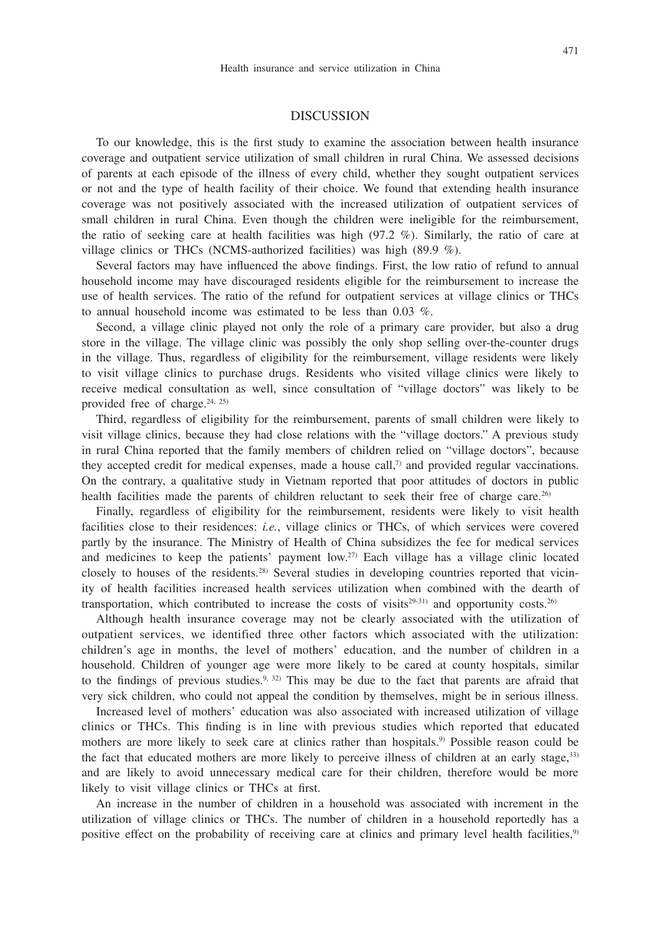# DISCUSSION

To our knowledge, this is the first study to examine the association between health insurance coverage and outpatient service utilization of small children in rural China. We assessed decisions of parents at each episode of the illness of every child, whether they sought outpatient services or not and the type of health facility of their choice. We found that extending health insurance coverage was not positively associated with the increased utilization of outpatient services of small children in rural China. Even though the children were ineligible for the reimbursement, the ratio of seeking care at health facilities was high (97.2 %). Similarly, the ratio of care at village clinics or THCs (NCMS-authorized facilities) was high (89.9 %).

Several factors may have influenced the above findings. First, the low ratio of refund to annual household income may have discouraged residents eligible for the reimbursement to increase the use of health services. The ratio of the refund for outpatient services at village clinics or THCs to annual household income was estimated to be less than 0.03 %.

Second, a village clinic played not only the role of a primary care provider, but also a drug store in the village. The village clinic was possibly the only shop selling over-the-counter drugs in the village. Thus, regardless of eligibility for the reimbursement, village residents were likely to visit village clinics to purchase drugs. Residents who visited village clinics were likely to receive medical consultation as well, since consultation of "village doctors" was likely to be provided free of charge. $24, 25$ 

Third, regardless of eligibility for the reimbursement, parents of small children were likely to visit village clinics, because they had close relations with the "village doctors." A previous study in rural China reported that the family members of children relied on "village doctors", because they accepted credit for medical expenses, made a house call, $\eta$  and provided regular vaccinations. On the contrary, a qualitative study in Vietnam reported that poor attitudes of doctors in public health facilities made the parents of children reluctant to seek their free of charge care.<sup>26)</sup>

Finally, regardless of eligibility for the reimbursement, residents were likely to visit health facilities close to their residences: *i.e.*, village clinics or THCs, of which services were covered partly by the insurance. The Ministry of Health of China subsidizes the fee for medical services and medicines to keep the patients' payment low.<sup>27)</sup> Each village has a village clinic located closely to houses of the residents.<sup>28)</sup> Several studies in developing countries reported that vicinity of health facilities increased health services utilization when combined with the dearth of transportation, which contributed to increase the costs of visits $2^{9\text{-}31}$  and opportunity costs.<sup>26)</sup>

Although health insurance coverage may not be clearly associated with the utilization of outpatient services, we identified three other factors which associated with the utilization: children's age in months, the level of mothers' education, and the number of children in a household. Children of younger age were more likely to be cared at county hospitals, similar to the findings of previous studies.<sup>9, 32)</sup> This may be due to the fact that parents are afraid that very sick children, who could not appeal the condition by themselves, might be in serious illness.

Increased level of mothers' education was also associated with increased utilization of village clinics or THCs. This finding is in line with previous studies which reported that educated mothers are more likely to seek care at clinics rather than hospitals.<sup>9)</sup> Possible reason could be the fact that educated mothers are more likely to perceive illness of children at an early stage,  $33$ ) and are likely to avoid unnecessary medical care for their children, therefore would be more likely to visit village clinics or THCs at first.

An increase in the number of children in a household was associated with increment in the utilization of village clinics or THCs. The number of children in a household reportedly has a positive effect on the probability of receiving care at clinics and primary level health facilities,<sup>9</sup>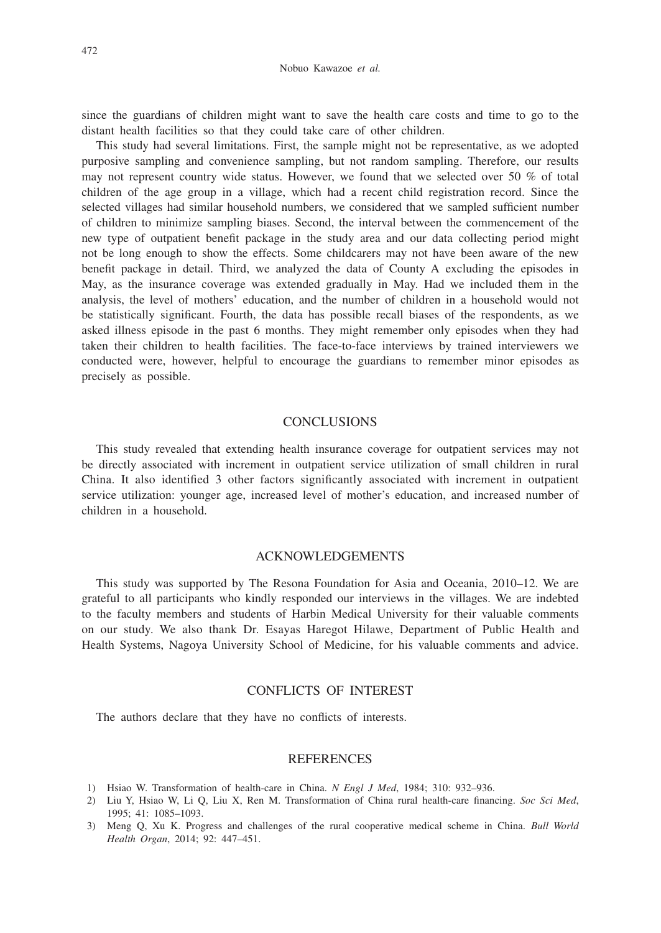since the guardians of children might want to save the health care costs and time to go to the distant health facilities so that they could take care of other children.

This study had several limitations. First, the sample might not be representative, as we adopted purposive sampling and convenience sampling, but not random sampling. Therefore, our results may not represent country wide status. However, we found that we selected over 50 % of total children of the age group in a village, which had a recent child registration record. Since the selected villages had similar household numbers, we considered that we sampled sufficient number of children to minimize sampling biases. Second, the interval between the commencement of the new type of outpatient benefit package in the study area and our data collecting period might not be long enough to show the effects. Some childcarers may not have been aware of the new benefit package in detail. Third, we analyzed the data of County A excluding the episodes in May, as the insurance coverage was extended gradually in May. Had we included them in the analysis, the level of mothers' education, and the number of children in a household would not be statistically significant. Fourth, the data has possible recall biases of the respondents, as we asked illness episode in the past 6 months. They might remember only episodes when they had taken their children to health facilities. The face-to-face interviews by trained interviewers we conducted were, however, helpful to encourage the guardians to remember minor episodes as precisely as possible.

# **CONCLUSIONS**

This study revealed that extending health insurance coverage for outpatient services may not be directly associated with increment in outpatient service utilization of small children in rural China. It also identified 3 other factors significantly associated with increment in outpatient service utilization: younger age, increased level of mother's education, and increased number of children in a household.

### ACKNOWLEDGEMENTS

This study was supported by The Resona Foundation for Asia and Oceania, 2010–12. We are grateful to all participants who kindly responded our interviews in the villages. We are indebted to the faculty members and students of Harbin Medical University for their valuable comments on our study. We also thank Dr. Esayas Haregot Hilawe, Department of Public Health and Health Systems, Nagoya University School of Medicine, for his valuable comments and advice.

# CONFLICTS OF INTEREST

The authors declare that they have no conflicts of interests.

#### **REFERENCES**

- 1) Hsiao W. Transformation of health-care in China. *N Engl J Med*, 1984; 310: 932–936.
- 2) Liu Y, Hsiao W, Li Q, Liu X, Ren M. Transformation of China rural health-care financing. *Soc Sci Med*, 1995; 41: 1085–1093.
- 3) Meng Q, Xu K. Progress and challenges of the rural cooperative medical scheme in China. *Bull World Health Organ*, 2014; 92: 447–451.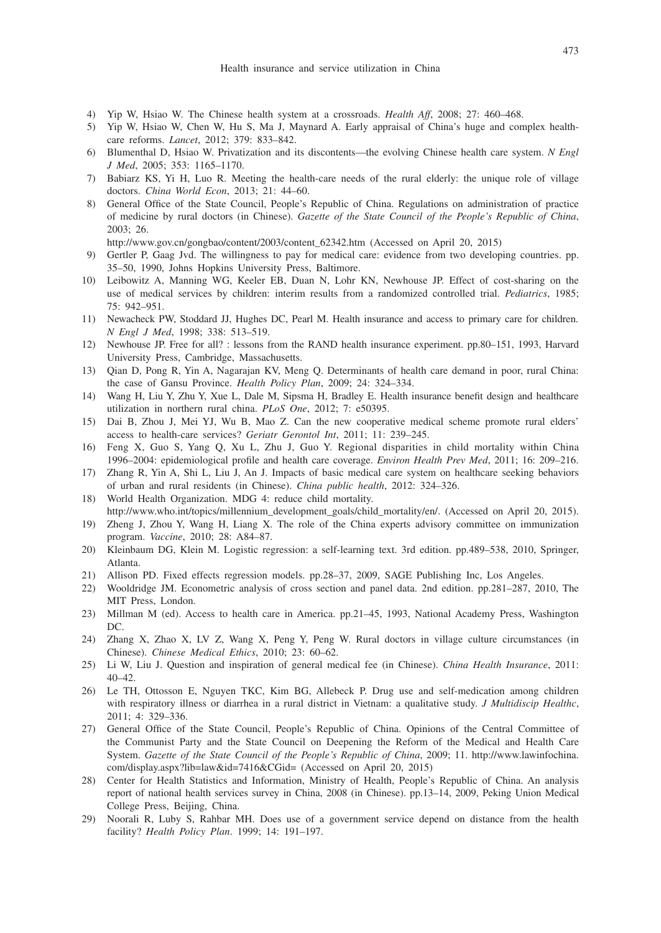- 4) Yip W, Hsiao W. The Chinese health system at a crossroads. *Health Aff*, 2008; 27: 460–468.
- 5) Yip W, Hsiao W, Chen W, Hu S, Ma J, Maynard A. Early appraisal of China's huge and complex healthcare reforms. *Lancet*, 2012; 379: 833–842.
- 6) Blumenthal D, Hsiao W. Privatization and its discontents—the evolving Chinese health care system. *N Engl J Med*, 2005; 353: 1165–1170.
- 7) Babiarz KS, Yi H, Luo R. Meeting the health-care needs of the rural elderly: the unique role of village doctors. *China World Econ*, 2013; 21: 44–60.
- 8) General Office of the State Council, People's Republic of China. Regulations on administration of practice of medicine by rural doctors (in Chinese). *Gazette of the State Council of the People's Republic of China*, 2003; 26.
	- http://www.gov.cn/gongbao/content/2003/content\_62342.htm (Accessed on April 20, 2015)
- 9) Gertler P, Gaag Jvd. The willingness to pay for medical care: evidence from two developing countries. pp. 35–50, 1990, Johns Hopkins University Press, Baltimore.
- 10) Leibowitz A, Manning WG, Keeler EB, Duan N, Lohr KN, Newhouse JP. Effect of cost-sharing on the use of medical services by children: interim results from a randomized controlled trial. *Pediatrics*, 1985; 75: 942–951.
- 11) Newacheck PW, Stoddard JJ, Hughes DC, Pearl M. Health insurance and access to primary care for children. *N Engl J Med*, 1998; 338: 513–519.
- 12) Newhouse JP. Free for all? : lessons from the RAND health insurance experiment. pp.80–151, 1993, Harvard University Press, Cambridge, Massachusetts.
- 13) Qian D, Pong R, Yin A, Nagarajan KV, Meng Q. Determinants of health care demand in poor, rural China: the case of Gansu Province. *Health Policy Plan*, 2009; 24: 324–334.
- 14) Wang H, Liu Y, Zhu Y, Xue L, Dale M, Sipsma H, Bradley E. Health insurance benefit design and healthcare utilization in northern rural china. *PLoS One*, 2012; 7: e50395.
- 15) Dai B, Zhou J, Mei YJ, Wu B, Mao Z. Can the new cooperative medical scheme promote rural elders' access to health-care services? *Geriatr Gerontol Int*, 2011; 11: 239–245.
- 16) Feng X, Guo S, Yang Q, Xu L, Zhu J, Guo Y. Regional disparities in child mortality within China 1996–2004: epidemiological profile and health care coverage. *Environ Health Prev Med*, 2011; 16: 209–216.
- 17) Zhang R, Yin A, Shi L, Liu J, An J. Impacts of basic medical care system on healthcare seeking behaviors of urban and rural residents (in Chinese). *China public health*, 2012: 324–326.
- 18) World Health Organization. MDG 4: reduce child mortality. http://www.who.int/topics/millennium\_development\_goals/child\_mortality/en/. (Accessed on April 20, 2015).
- 19) Zheng J, Zhou Y, Wang H, Liang X. The role of the China experts advisory committee on immunization program. *Vaccine*, 2010; 28: A84–87.
- 20) Kleinbaum DG, Klein M. Logistic regression: a self-learning text. 3rd edition. pp.489–538, 2010, Springer, Atlanta.
- 21) Allison PD. Fixed effects regression models. pp.28–37, 2009, SAGE Publishing Inc, Los Angeles.
- 22) Wooldridge JM. Econometric analysis of cross section and panel data. 2nd edition. pp.281–287, 2010, The MIT Press, London.
- 23) Millman M (ed). Access to health care in America. pp.21–45, 1993, National Academy Press, Washington DC.
- 24) Zhang X, Zhao X, LV Z, Wang X, Peng Y, Peng W. Rural doctors in village culture circumstances (in Chinese). *Chinese Medical Ethics*, 2010; 23: 60–62.
- 25) Li W, Liu J. Question and inspiration of general medical fee (in Chinese). *China Health Insurance*, 2011:  $40-42$ .
- 26) Le TH, Ottosson E, Nguyen TKC, Kim BG, Allebeck P. Drug use and self-medication among children with respiratory illness or diarrhea in a rural district in Vietnam: a qualitative study. *J Multidiscip Healthc*, 2011; 4: 329–336.
- 27) General Office of the State Council, People's Republic of China. Opinions of the Central Committee of the Communist Party and the State Council on Deepening the Reform of the Medical and Health Care System. *Gazette of the State Council of the People's Republic of China*, 2009; 11. http://www.lawinfochina. com/display.aspx?lib=law&id=7416&CGid= (Accessed on April 20, 2015)
- 28) Center for Health Statistics and Information, Ministry of Health, People's Republic of China. An analysis report of national health services survey in China, 2008 (in Chinese). pp.13–14, 2009, Peking Union Medical College Press, Beijing, China.
- 29) Noorali R, Luby S, Rahbar MH. Does use of a government service depend on distance from the health facility? *Health Policy Plan*. 1999; 14: 191–197.